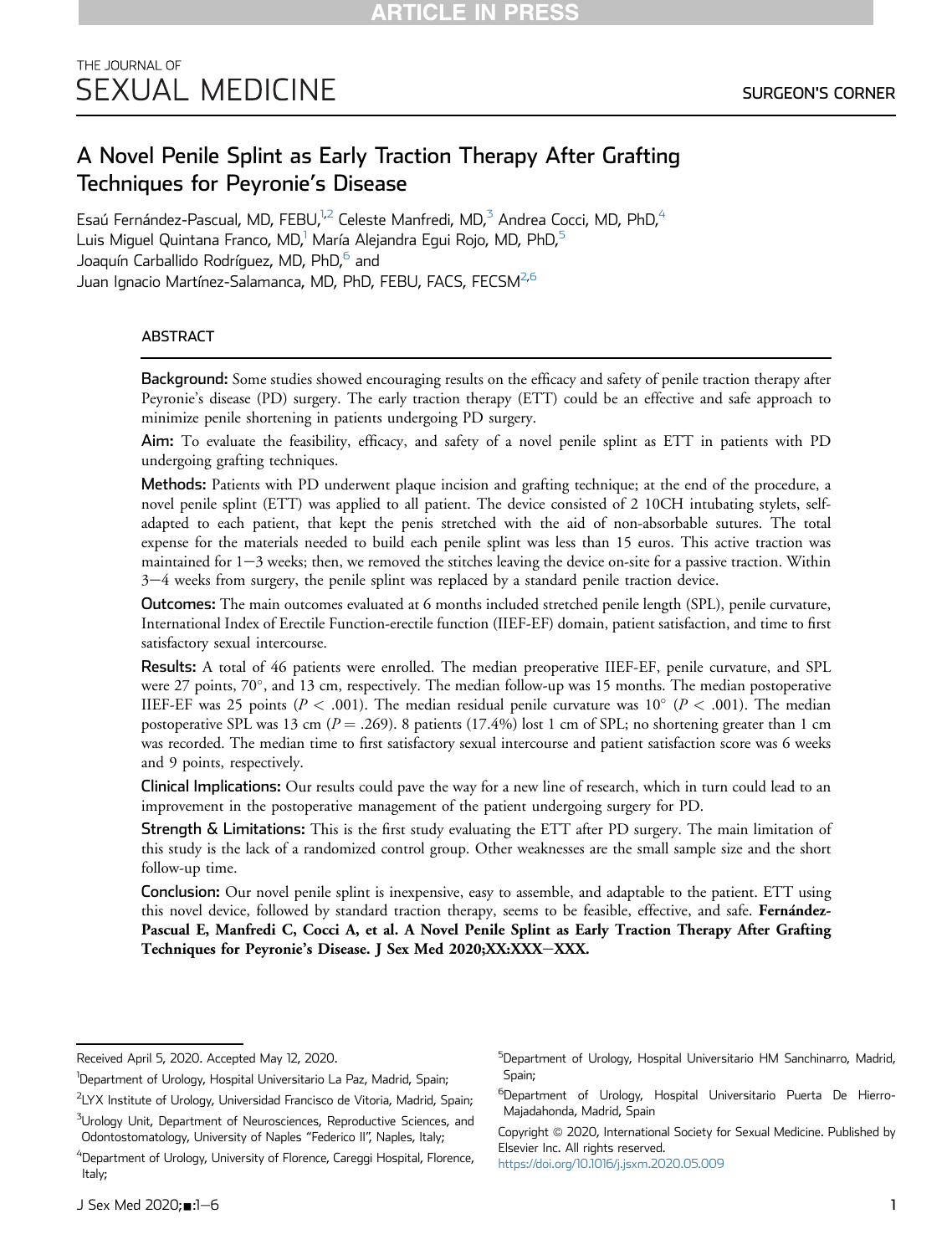# A Novel Penile Splint as Early Traction Therapy After Grafting Techniques for Peyronie's Disease

Esaú Fernández-Pascual, MD, FEBU, $^{1,2}$  $^{1,2}$  $^{1,2}$  Celeste Manfredi, MD,<sup>[3](#page-0-1)</sup> Andrea Cocci, MD, PhD,<sup>4</sup> Luis Miguel Quintana Franco, MD,<sup>1</sup> María Alejandra Egui Rojo, MD, PhD,<sup>[5](#page-0-3)</sup> Joaquín Carballido Rodríguez, MD, PhD,<sup>[6](#page-0-4)</sup> and Juan Ignacio Martínez-Salamanca, MD, PhD, FEBU, FACS, FECSM<sup>[2,](#page-0-0)[6](#page-0-4)</sup>

# ABSTRACT

Background: Some studies showed encouraging results on the efficacy and safety of penile traction therapy after Peyronie's disease (PD) surgery. The early traction therapy (ETT) could be an effective and safe approach to minimize penile shortening in patients undergoing PD surgery.

Aim: To evaluate the feasibility, efficacy, and safety of a novel penile splint as ETT in patients with PD undergoing grafting techniques.

Methods: Patients with PD underwent plaque incision and grafting technique; at the end of the procedure, a novel penile splint (ETT) was applied to all patient. The device consisted of 2 10CH intubating stylets, selfadapted to each patient, that kept the penis stretched with the aid of non-absorbable sutures. The total expense for the materials needed to build each penile splint was less than 15 euros. This active traction was maintained for  $1-3$  weeks; then, we removed the stitches leaving the device on-site for a passive traction. Within  $3-4$  weeks from surgery, the penile splint was replaced by a standard penile traction device.

Outcomes: The main outcomes evaluated at 6 months included stretched penile length (SPL), penile curvature, International Index of Erectile Function-erectile function (IIEF-EF) domain, patient satisfaction, and time to first satisfactory sexual intercourse.

Results: A total of 46 patients were enrolled. The median preoperative IIEF-EF, penile curvature, and SPL were 27 points, 70°, and 13 cm, respectively. The median follow-up was 15 months. The median postoperative IIEF-EF was 25 points ( $P < .001$ ). The median residual penile curvature was 10° ( $P < .001$ ). The median postoperative SPL was 13 cm ( $P = .269$ ). 8 patients (17.4%) lost 1 cm of SPL; no shortening greater than 1 cm was recorded. The median time to first satisfactory sexual intercourse and patient satisfaction score was 6 weeks and 9 points, respectively.

Clinical Implications: Our results could pave the way for a new line of research, which in turn could lead to an improvement in the postoperative management of the patient undergoing surgery for PD.

Strength & Limitations: This is the first study evaluating the ETT after PD surgery. The main limitation of this study is the lack of a randomized control group. Other weaknesses are the small sample size and the short follow-up time.

Conclusion: Our novel penile splint is inexpensive, easy to assemble, and adaptable to the patient. ETT using this novel device, followed by standard traction therapy, seems to be feasible, effective, and safe. Fernández-Pascual E, Manfredi C, Cocci A, et al. A Novel Penile Splint as Early Traction Therapy After Grafting Techniques for Peyronie's Disease. J Sex Med 2020;XX:XXX-XXX.

<span id="page-0-3"></span><sup>5</sup>Department of Urology, Hospital Universitario HM Sanchinarro, Madrid, Spain;

Copyright @ 2020, International Society for Sexual Medicine. Published by Elsevier Inc. All rights reserved. <https://doi.org/10.1016/j.jsxm.2020.05.009>

Received April 5, 2020. Accepted May 12, 2020.

<sup>&</sup>lt;sup>1</sup>Department of Urology, Hospital Universitario La Paz, Madrid, Spain;

<span id="page-0-0"></span><sup>&</sup>lt;sup>2</sup>LYX Institute of Urology, Universidad Francisco de Vitoria, Madrid, Spain;  $^3$ Urology Unit, Department of Neurosciences, Reproductive Sciences, and

<span id="page-0-1"></span>Odontostomatology, University of Naples "Federico II", Naples, Italy;

<span id="page-0-2"></span><sup>&</sup>lt;sup>4</sup>Department of Urology, University of Florence, Careggi Hospital, Florence, Italy;

<span id="page-0-4"></span><sup>&</sup>lt;sup>6</sup>Department of Urology, Hospital Universitario Puerta De Hierro-Majadahonda, Madrid, Spain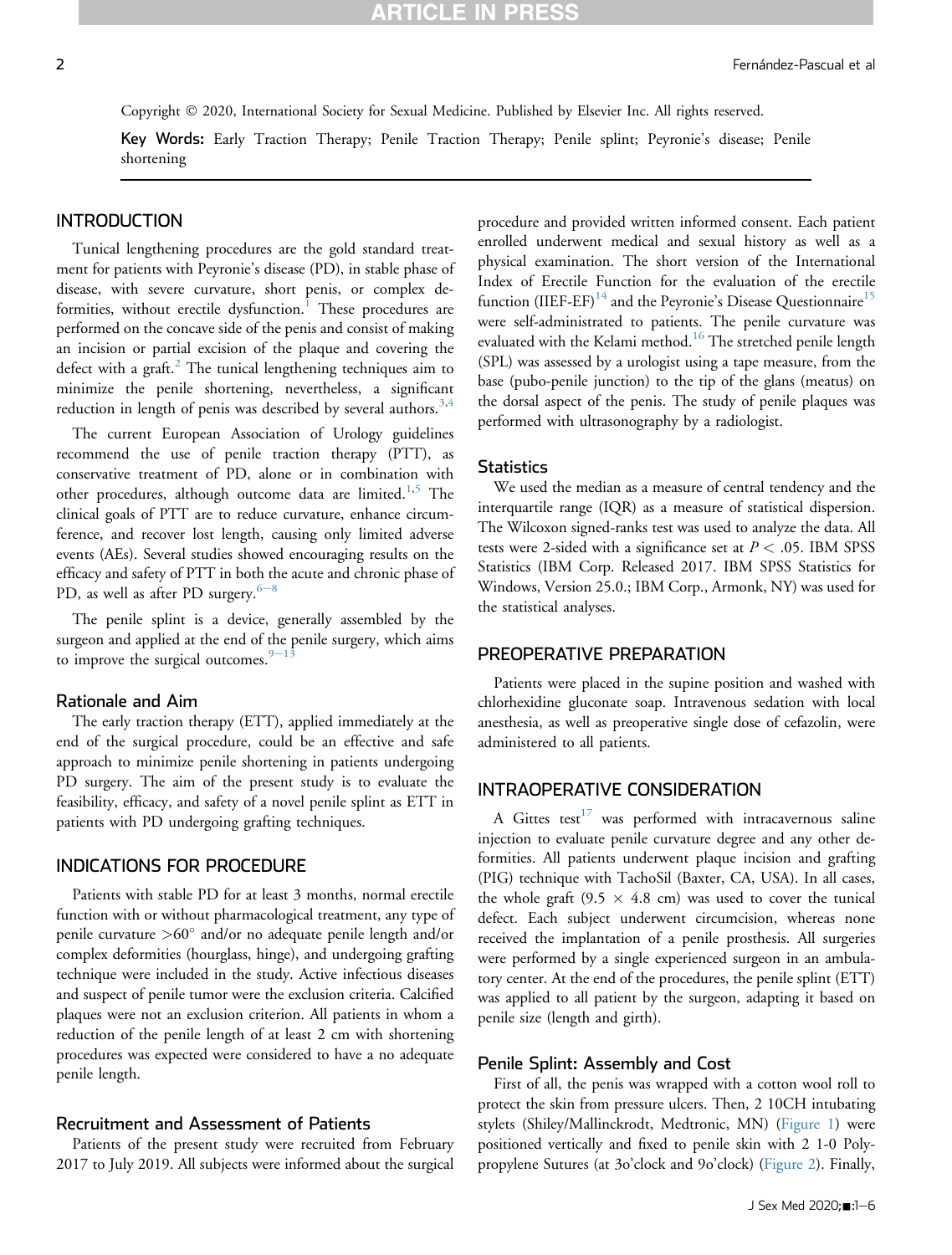# **IRTICLE IN PRES**

Copyright © 2020, International Society for Sexual Medicine. Published by Elsevier Inc. All rights reserved.

Key Words: Early Traction Therapy; Penile Traction Therapy; Penile splint; Peyronie's disease; Penile shortening

#### INTRODUCTION

Tunical lengthening procedures are the gold standard treatment for patients with Peyronie's disease (PD), in stable phase of disease, with severe curvature, short penis, or complex de-formities, without erectile dysfunction.<sup>[1](#page-4-0)</sup> These procedures are performed on the concave side of the penis and consist of making an incision or partial excision of the plaque and covering the defect with a graft. $^{2}$  $^{2}$  $^{2}$  The tunical lengthening techniques aim to minimize the penile shortening, nevertheless, a significant reduction in length of penis was described by several authors.<sup>[3](#page-4-2)[,4](#page-4-3)</sup>

The current European Association of Urology guidelines recommend the use of penile traction therapy (PTT), as conservative treatment of PD, alone or in combination with other procedures, although outcome data are limited.<sup>[1,](#page-4-0)[5](#page-5-0)</sup> The clinical goals of PTT are to reduce curvature, enhance circumference, and recover lost length, causing only limited adverse events (AEs). Several studies showed encouraging results on the efficacy and safety of PTT in both the acute and chronic phase of PD, as well as after PD surgery. $6-8$  $6-8$ 

The penile splint is a device, generally assembled by the surgeon and applied at the end of the penile surgery, which aims to improve the surgical outcomes. $9-13$  $9-13$  $9-13$ 

#### Rationale and Aim

The early traction therapy (ETT), applied immediately at the end of the surgical procedure, could be an effective and safe approach to minimize penile shortening in patients undergoing PD surgery. The aim of the present study is to evaluate the feasibility, efficacy, and safety of a novel penile splint as ETT in patients with PD undergoing grafting techniques.

#### INDICATIONS FOR PROCEDURE

Patients with stable PD for at least 3 months, normal erectile function with or without pharmacological treatment, any type of penile curvature  $>60^\circ$  and/or no adequate penile length and/or complex deformities (hourglass, hinge), and undergoing grafting technique were included in the study. Active infectious diseases and suspect of penile tumor were the exclusion criteria. Calcified plaques were not an exclusion criterion. All patients in whom a reduction of the penile length of at least 2 cm with shortening procedures was expected were considered to have a no adequate penile length.

#### Recruitment and Assessment of Patients

Patients of the present study were recruited from February 2017 to July 2019. All subjects were informed about the surgical procedure and provided written informed consent. Each patient enrolled underwent medical and sexual history as well as a physical examination. The short version of the International Index of Erectile Function for the evaluation of the erectile function (IIEF-EF) $^{14}$  $^{14}$  $^{14}$  and the Peyronie's Disease Questionnaire<sup>[15](#page-5-4)</sup> were self-administrated to patients. The penile curvature was evaluated with the Kelami method.<sup>[16](#page-5-5)</sup> The stretched penile length (SPL) was assessed by a urologist using a tape measure, from the base (pubo-penile junction) to the tip of the glans (meatus) on the dorsal aspect of the penis. The study of penile plaques was performed with ultrasonography by a radiologist.

#### **Statistics**

We used the median as a measure of central tendency and the interquartile range (IQR) as a measure of statistical dispersion. The Wilcoxon signed-ranks test was used to analyze the data. All tests were 2-sided with a significance set at  $P < .05$ . IBM SPSS Statistics (IBM Corp. Released 2017. IBM SPSS Statistics for Windows, Version 25.0.; IBM Corp., Armonk, NY) was used for the statistical analyses.

# PREOPERATIVE PREPARATION

Patients were placed in the supine position and washed with chlorhexidine gluconate soap. Intravenous sedation with local anesthesia, as well as preoperative single dose of cefazolin, were administered to all patients.

# INTRAOPERATIVE CONSIDERATION

A Gittes test $17$  was performed with intracavernous saline injection to evaluate penile curvature degree and any other deformities. All patients underwent plaque incision and grafting (PIG) technique with TachoSil (Baxter, CA, USA). In all cases, the whole graft (9.5  $\times$  4.8 cm) was used to cover the tunical defect. Each subject underwent circumcision, whereas none received the implantation of a penile prosthesis. All surgeries were performed by a single experienced surgeon in an ambulatory center. At the end of the procedures, the penile splint (ETT) was applied to all patient by the surgeon, adapting it based on penile size (length and girth).

# Penile Splint: Assembly and Cost

First of all, the penis was wrapped with a cotton wool roll to protect the skin from pressure ulcers. Then, 2 10CH intubating stylets (Shiley/Mallinckrodt, Medtronic, MN) [\(Figure 1](#page-2-0)) were positioned vertically and fixed to penile skin with 2 1-0 Polypropylene Sutures (at 3o'clock and 9o'clock) ([Figure 2\)](#page-2-1). Finally,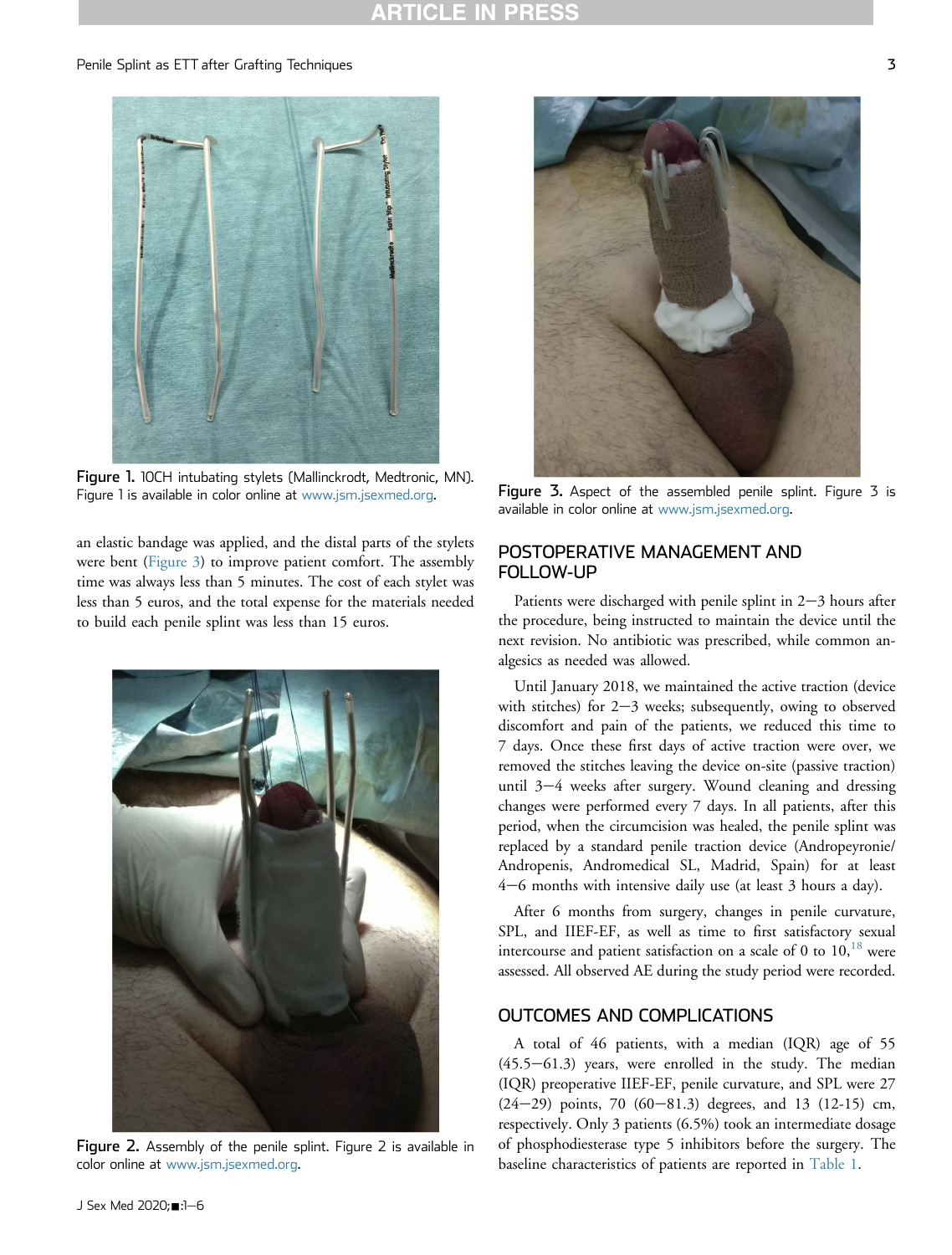#### <span id="page-2-0"></span>Penile Splint as ETT after Grafting Techniques 3



Figure 1. 10CH intubating stylets (Mallinckrodt, Medtronic, MN). Figure 1 is available in color online at [www.jsm.jsexmed.org](http://www.jsm.jsexmed.org).

an elastic bandage was applied, and the distal parts of the stylets were bent [\(Figure 3\)](#page-2-2) to improve patient comfort. The assembly time was always less than 5 minutes. The cost of each stylet was less than 5 euros, and the total expense for the materials needed to build each penile splint was less than 15 euros.

<span id="page-2-1"></span>

Figure 2. Assembly of the penile splint. Figure 2 is available in color online at [www.jsm.jsexmed.org.](http://www.jsm.jsexmed.org)

<span id="page-2-2"></span>

Figure 3. Aspect of the assembled penile splint. Figure 3 is available in color online at [www.jsm.jsexmed.org.](http://www.jsm.jsexmed.org)

# POSTOPERATIVE MANAGEMENT AND FOLLOW-UP

Patients were discharged with penile splint in  $2-3$  hours after the procedure, being instructed to maintain the device until the next revision. No antibiotic was prescribed, while common analgesics as needed was allowed.

Until January 2018, we maintained the active traction (device with stitches) for  $2-3$  weeks; subsequently, owing to observed discomfort and pain of the patients, we reduced this time to 7 days. Once these first days of active traction were over, we removed the stitches leaving the device on-site (passive traction) until  $3-4$  weeks after surgery. Wound cleaning and dressing changes were performed every 7 days. In all patients, after this period, when the circumcision was healed, the penile splint was replaced by a standard penile traction device (Andropeyronie/ Andropenis, Andromedical SL, Madrid, Spain) for at least  $4-6$  months with intensive daily use (at least 3 hours a day).

After 6 months from surgery, changes in penile curvature, SPL, and IIEF-EF, as well as time to first satisfactory sexual intercourse and patient satisfaction on a scale of 0 to  $10<sup>18</sup>$  $10<sup>18</sup>$  $10<sup>18</sup>$  were assessed. All observed AE during the study period were recorded.

### OUTCOMES AND COMPLICATIONS

A total of 46 patients, with a median (IQR) age of 55  $(45.5-61.3)$  years, were enrolled in the study. The median (IQR) preoperative IIEF-EF, penile curvature, and SPL were 27  $(24-29)$  points, 70  $(60-81.3)$  degrees, and 13  $(12-15)$  cm, respectively. Only 3 patients (6.5%) took an intermediate dosage of phosphodiesterase type 5 inhibitors before the surgery. The baseline characteristics of patients are reported in [Table 1](#page-3-0).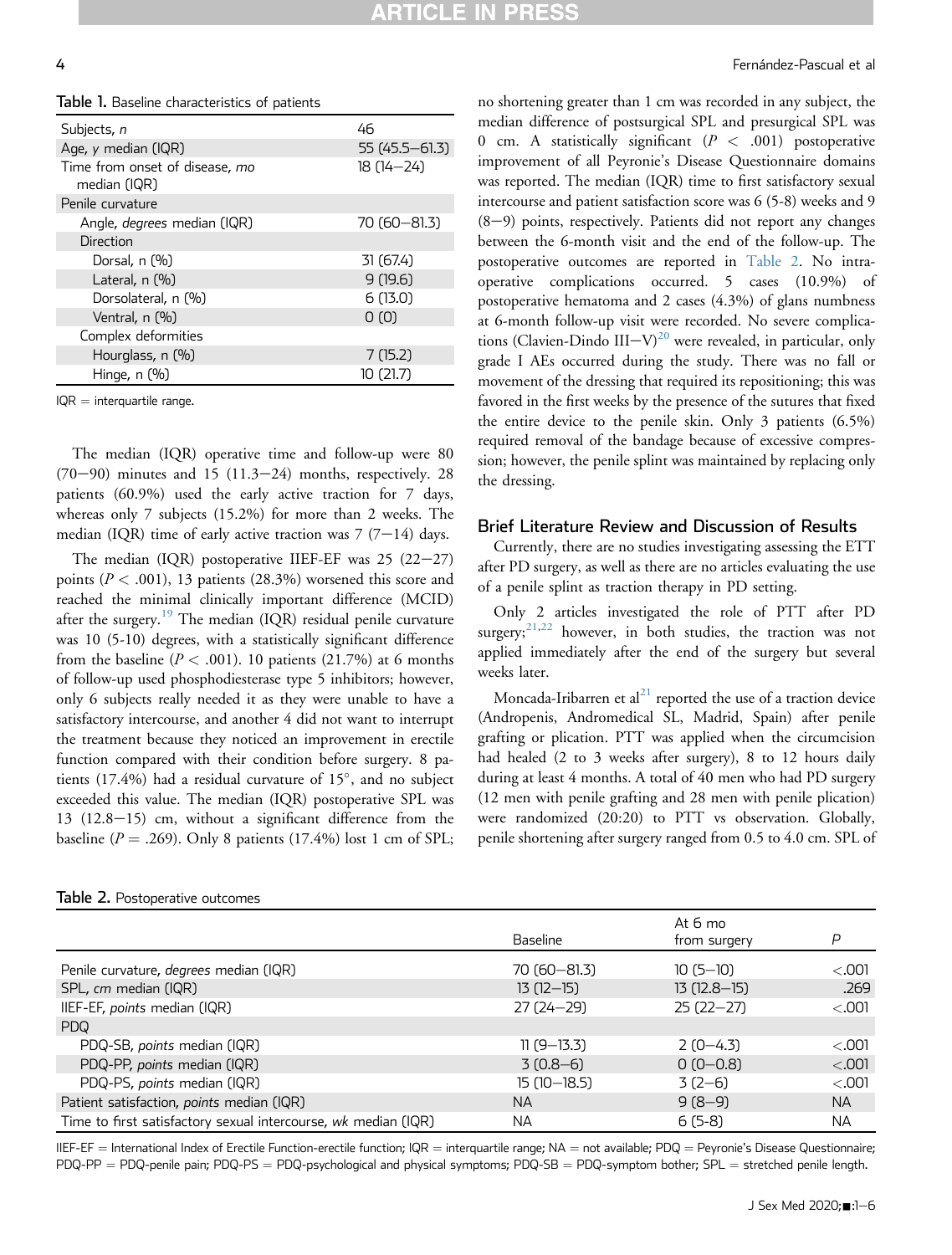<span id="page-3-0"></span>Table 1. Baseline characteristics of patients

| Subjects, n                                    | 46                |
|------------------------------------------------|-------------------|
| Age, y median (IQR)                            | $55(45.5 - 61.3)$ |
| Time from onset of disease, mo<br>median (IQR) | $18(14 - 24)$     |
| Penile curvature                               |                   |
| Angle, <i>degrees</i> median (IQR)             | 70 (60 - 81.3)    |
| Direction                                      |                   |
| Dorsal, n (%)                                  | 31 (67.4)         |
| Lateral, $n$ $(\%)$                            | 9(19.6)           |
| Dorsolateral, n (%)                            | 6(13.0)           |
| Ventral, n (%)                                 | 0(0)              |
| Complex deformities                            |                   |
| Hourglass, n (%)                               | 7(15.2)           |
| Hinge, $n$ $(\%)$                              | 10 (21.7)         |

 $IQR =$  interquartile range.

The median (IQR) operative time and follow-up were 80  $(70-90)$  minutes and 15  $(11.3-24)$  months, respectively. 28 patients (60.9%) used the early active traction for 7 days, whereas only 7 subjects (15.2%) for more than 2 weeks. The median (IQR) time of early active traction was  $7(7-14)$  days.

The median  $(IQR)$  postoperative IIEF-EF was 25  $(22-27)$ points ( $P < .001$ ), 13 patients (28.3%) worsened this score and reached the minimal clinically important difference (MCID) after the surgery.<sup>[19](#page-5-8)</sup> The median (IQR) residual penile curvature was 10 (5-10) degrees, with a statistically significant difference from the baseline ( $P < .001$ ). 10 patients (21.7%) at 6 months of follow-up used phosphodiesterase type 5 inhibitors; however, only 6 subjects really needed it as they were unable to have a satisfactory intercourse, and another 4 did not want to interrupt the treatment because they noticed an improvement in erectile function compared with their condition before surgery. 8 patients  $(17.4\%)$  had a residual curvature of  $15^\circ$ , and no subject exceeded this value. The median (IQR) postoperative SPL was  $13$   $(12.8-15)$  cm, without a significant difference from the baseline ( $P = .269$ ). Only 8 patients (17.4%) lost 1 cm of SPL;

<span id="page-3-1"></span>

| Table 2. Postoperative outcomes |  |  |  |  |  |  |
|---------------------------------|--|--|--|--|--|--|
|---------------------------------|--|--|--|--|--|--|

no shortening greater than 1 cm was recorded in any subject, the median difference of postsurgical SPL and presurgical SPL was 0 cm. A statistically significant  $(P < .001)$  postoperative improvement of all Peyronie's Disease Questionnaire domains was reported. The median (IQR) time to first satisfactory sexual intercourse and patient satisfaction score was 6 (5-8) weeks and 9  $(8-9)$  points, respectively. Patients did not report any changes between the 6-month visit and the end of the follow-up. The postoperative outcomes are reported in [Table 2](#page-3-1). No intraoperative complications occurred. 5 cases (10.9%) of postoperative hematoma and 2 cases (4.3%) of glans numbness at 6-month follow-up visit were recorded. No severe complica-tions (Clavien-Dindo III-V)<sup>[20](#page-5-9)</sup> were revealed, in particular, only grade I AEs occurred during the study. There was no fall or movement of the dressing that required its repositioning; this was favored in the first weeks by the presence of the sutures that fixed the entire device to the penile skin. Only 3 patients (6.5%) required removal of the bandage because of excessive compression; however, the penile splint was maintained by replacing only the dressing.

#### Brief Literature Review and Discussion of Results

Currently, there are no studies investigating assessing the ETT after PD surgery, as well as there are no articles evaluating the use of a penile splint as traction therapy in PD setting.

Only 2 articles investigated the role of PTT after PD surgery;  $21,22$  $21,22$  however, in both studies, the traction was not applied immediately after the end of the surgery but several weeks later.

Moncada-Iribarren et al $^{21}$  $^{21}$  $^{21}$  reported the use of a traction device (Andropenis, Andromedical SL, Madrid, Spain) after penile grafting or plication. PTT was applied when the circumcision had healed (2 to 3 weeks after surgery), 8 to 12 hours daily during at least 4 months. A total of 40 men who had PD surgery (12 men with penile grafting and 28 men with penile plication) were randomized (20:20) to PTT vs observation. Globally, penile shortening after surgery ranged from 0.5 to 4.0 cm. SPL of

|                                                                |                | At 6 mo       |           |
|----------------------------------------------------------------|----------------|---------------|-----------|
|                                                                | Baseline       | from surgery  | P         |
| Penile curvature, degrees median (IQR)                         | 70 (60 - 81.3) | $10(5-10)$    | < 0.001   |
| SPL, cm median (IQR)                                           | $13(12-15)$    | $13(12.8-15)$ | .269      |
| IIEF-EF, points median (IQR)                                   | $27(24 - 29)$  | $25(22-27)$   | < 0.001   |
| PDQ                                                            |                |               |           |
| PDQ-SB, points median (IQR)                                    | $11(9-13.3)$   | $2(0-4.3)$    | <.001     |
| PDQ-PP, points median (IQR)                                    | $3(0.8-6)$     | $0(0-0.8)$    | < 0.001   |
| PDQ-PS, points median (IQR)                                    | $15(10-18.5)$  | $3(2-6)$      | < 0.001   |
| Patient satisfaction, points median (IQR)                      | <b>NA</b>      | $9(8-9)$      | <b>NA</b> |
| Time to first satisfactory sexual intercourse, wk median (IQR) | <b>NA</b>      | $6(5-8)$      | <b>NA</b> |

IIEF-EF = International Index of Erectile Function-erectile function; IQR = interquartile range; NA = not available; PDQ = Peyronie's Disease Questionnaire;  $PDQ-PP = PDQ-penile pain; PDQ-PS = PDQ-psychological and physical symptoms; PDQ-SB = PDQ-symptom bother; SPL = stretched penile length.$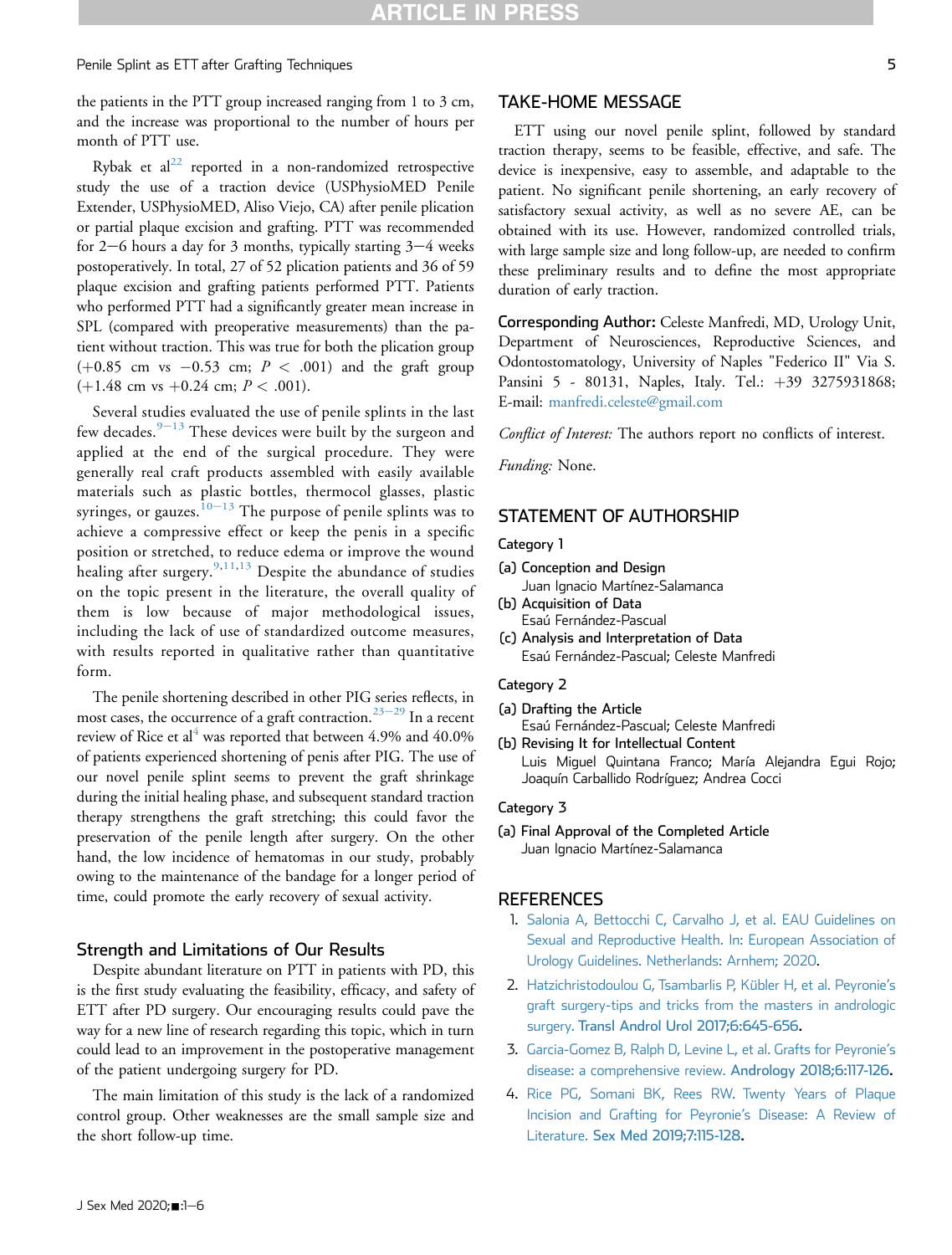### Penile Splint as ETT after Grafting Techniques 5

the patients in the PTT group increased ranging from 1 to 3 cm, and the increase was proportional to the number of hours per month of PTT use.

Rybak et  $al^{22}$  $al^{22}$  $al^{22}$  reported in a non-randomized retrospective study the use of a traction device (USPhysioMED Penile Extender, USPhysioMED, Aliso Viejo, CA) after penile plication or partial plaque excision and grafting. PTT was recommended for 2–6 hours a day for 3 months, typically starting  $3-4$  weeks postoperatively. In total, 27 of 52 plication patients and 36 of 59 plaque excision and grafting patients performed PTT. Patients who performed PTT had a significantly greater mean increase in SPL (compared with preoperative measurements) than the patient without traction. This was true for both the plication group  $(+0.85$  cm vs  $-0.53$  cm;  $P < .001$ ) and the graft group  $(+1.48 \text{ cm vs } +0.24 \text{ cm}; P < .001).$ 

Several studies evaluated the use of penile splints in the last few decades. $9-13$  $9-13$  $9-13$  These devices were built by the surgeon and applied at the end of the surgical procedure. They were generally real craft products assembled with easily available materials such as plastic bottles, thermocol glasses, plastic syringes, or gauzes.<sup>[10](#page-5-12)–[13](#page-5-12)</sup> The purpose of penile splints was to achieve a compressive effect or keep the penis in a specific position or stretched, to reduce edema or improve the wound healing after surgery.<sup>[9](#page-5-2)[,11](#page-5-13),[13](#page-5-14)</sup> Despite the abundance of studies on the topic present in the literature, the overall quality of them is low because of major methodological issues, including the lack of use of standardized outcome measures, with results reported in qualitative rather than quantitative form.

The penile shortening described in other PIG series reflects, in most cases, the occurrence of a graft contraction.<sup>[23](#page-5-15)–[29](#page-5-15)</sup> In a recent review of Rice et al<sup>[4](#page-4-3)</sup> was reported that between 4.9% and 40.0% of patients experienced shortening of penis after PIG. The use of our novel penile splint seems to prevent the graft shrinkage during the initial healing phase, and subsequent standard traction therapy strengthens the graft stretching; this could favor the preservation of the penile length after surgery. On the other hand, the low incidence of hematomas in our study, probably owing to the maintenance of the bandage for a longer period of time, could promote the early recovery of sexual activity.

### Strength and Limitations of Our Results

Despite abundant literature on PTT in patients with PD, this is the first study evaluating the feasibility, efficacy, and safety of ETT after PD surgery. Our encouraging results could pave the way for a new line of research regarding this topic, which in turn could lead to an improvement in the postoperative management of the patient undergoing surgery for PD.

The main limitation of this study is the lack of a randomized control group. Other weaknesses are the small sample size and the short follow-up time.

#### TAKE-HOME MESSAGE

ETT using our novel penile splint, followed by standard traction therapy, seems to be feasible, effective, and safe. The device is inexpensive, easy to assemble, and adaptable to the patient. No significant penile shortening, an early recovery of satisfactory sexual activity, as well as no severe AE, can be obtained with its use. However, randomized controlled trials, with large sample size and long follow-up, are needed to confirm these preliminary results and to define the most appropriate duration of early traction.

Corresponding Author: Celeste Manfredi, MD, Urology Unit, Department of Neurosciences, Reproductive Sciences, and Odontostomatology, University of Naples "Federico II" Via S. Pansini 5 - 80131, Naples, Italy. Tel.: +39 3275931868; E-mail: [manfredi.celeste@gmail.com](mailto:manfredi.celeste@gmail.com)

Conflict of Interest: The authors report no conflicts of interest.

Funding: None.

# STATEMENT OF AUTHORSHIP

#### Category 1

- (a) Conception and Design
- Juan Ignacio Martínez-Salamanca
- (b) Acquisition of Data Esaú Fernández-Pascual (c) Analysis and Interpretation of Data
- Esaú Fernández-Pascual; Celeste Manfredi

#### Category 2

- (a) Drafting the Article Esaú Fernández-Pascual; Celeste Manfredi
- (b) Revising It for Intellectual Content Luis Miguel Quintana Franco; María Alejandra Egui Rojo; Joaquín Carballido Rodríguez; Andrea Cocci

#### Category 3

(a) Final Approval of the Completed Article Juan Ignacio Martínez-Salamanca

# <span id="page-4-0"></span>**REFERENCES**

- 1. [Salonia A, Bettocchi C, Carvalho J, et al. EAU Guidelines on](http://refhub.elsevier.com/S1743-6095(20)30644-5/sref1) [Sexual and Reproductive Health. In: European Association of](http://refhub.elsevier.com/S1743-6095(20)30644-5/sref1) [Urology Guidelines. Netherlands: Arnhem; 2020](http://refhub.elsevier.com/S1743-6095(20)30644-5/sref1).
- <span id="page-4-1"></span>2. [Hatzichristodoulou G, Tsambarlis P, Kübler H, et al. Peyronie](http://refhub.elsevier.com/S1743-6095(20)30644-5/sref2)'s [graft surgery-tips and tricks from the masters in andrologic](http://refhub.elsevier.com/S1743-6095(20)30644-5/sref2) surgery. [Transl Androl Urol 2017;6:645-656](http://refhub.elsevier.com/S1743-6095(20)30644-5/sref2).
- <span id="page-4-3"></span><span id="page-4-2"></span>3. [Garcia-Gomez B, Ralph D, Levine L, et al. Grafts for Peyronie](http://refhub.elsevier.com/S1743-6095(20)30644-5/sref3)'s [disease: a comprehensive review.](http://refhub.elsevier.com/S1743-6095(20)30644-5/sref3) Andrology 2018;6:117-126.
- 4. [Rice PG, Somani BK, Rees RW. Twenty Years of Plaque](http://refhub.elsevier.com/S1743-6095(20)30644-5/sref4) [Incision and Grafting for Peyronie](http://refhub.elsevier.com/S1743-6095(20)30644-5/sref4)'s Disease: A Review of Literature. [Sex Med 2019;7:115-128](http://refhub.elsevier.com/S1743-6095(20)30644-5/sref4).